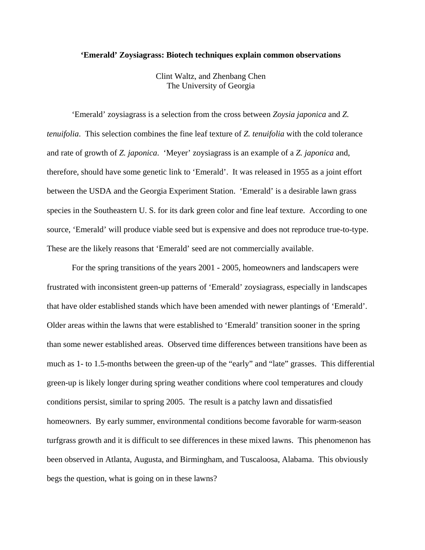## **'Emerald' Zoysiagrass: Biotech techniques explain common observations**

Clint Waltz, and Zhenbang Chen The University of Georgia

'Emerald' zoysiagrass is a selection from the cross between *Zoysia japonica* and *Z. tenuifolia*. This selection combines the fine leaf texture of *Z. tenuifolia* with the cold tolerance and rate of growth of *Z. japonica*. 'Meyer' zoysiagrass is an example of a *Z. japonica* and, therefore, should have some genetic link to 'Emerald'. It was released in 1955 as a joint effort between the USDA and the Georgia Experiment Station. 'Emerald' is a desirable lawn grass species in the Southeastern U. S. for its dark green color and fine leaf texture. According to one source, 'Emerald' will produce viable seed but is expensive and does not reproduce true-to-type. These are the likely reasons that 'Emerald' seed are not commercially available.

For the spring transitions of the years 2001 - 2005, homeowners and landscapers were frustrated with inconsistent green-up patterns of 'Emerald' zoysiagrass, especially in landscapes that have older established stands which have been amended with newer plantings of 'Emerald'. Older areas within the lawns that were established to 'Emerald' transition sooner in the spring than some newer established areas. Observed time differences between transitions have been as much as 1- to 1.5-months between the green-up of the "early" and "late" grasses. This differential green-up is likely longer during spring weather conditions where cool temperatures and cloudy conditions persist, similar to spring 2005. The result is a patchy lawn and dissatisfied homeowners. By early summer, environmental conditions become favorable for warm-season turfgrass growth and it is difficult to see differences in these mixed lawns. This phenomenon has been observed in Atlanta, Augusta, and Birmingham, and Tuscaloosa, Alabama. This obviously begs the question, what is going on in these lawns?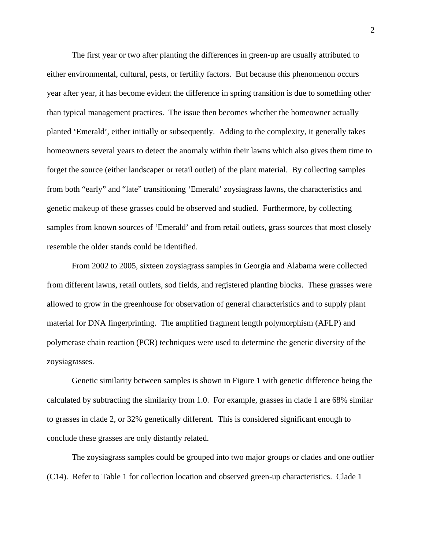The first year or two after planting the differences in green-up are usually attributed to either environmental, cultural, pests, or fertility factors. But because this phenomenon occurs year after year, it has become evident the difference in spring transition is due to something other than typical management practices. The issue then becomes whether the homeowner actually planted 'Emerald', either initially or subsequently. Adding to the complexity, it generally takes homeowners several years to detect the anomaly within their lawns which also gives them time to forget the source (either landscaper or retail outlet) of the plant material. By collecting samples from both "early" and "late" transitioning 'Emerald' zoysiagrass lawns, the characteristics and genetic makeup of these grasses could be observed and studied. Furthermore, by collecting samples from known sources of 'Emerald' and from retail outlets, grass sources that most closely resemble the older stands could be identified.

From 2002 to 2005, sixteen zoysiagrass samples in Georgia and Alabama were collected from different lawns, retail outlets, sod fields, and registered planting blocks. These grasses were allowed to grow in the greenhouse for observation of general characteristics and to supply plant material for DNA fingerprinting. The amplified fragment length polymorphism (AFLP) and polymerase chain reaction (PCR) techniques were used to determine the genetic diversity of the zoysiagrasses.

Genetic similarity between samples is shown in Figure 1 with genetic difference being the calculated by subtracting the similarity from 1.0. For example, grasses in clade 1 are 68% similar to grasses in clade 2, or 32% genetically different. This is considered significant enough to conclude these grasses are only distantly related.

The zoysiagrass samples could be grouped into two major groups or clades and one outlier (C14). Refer to Table 1 for collection location and observed green-up characteristics. Clade 1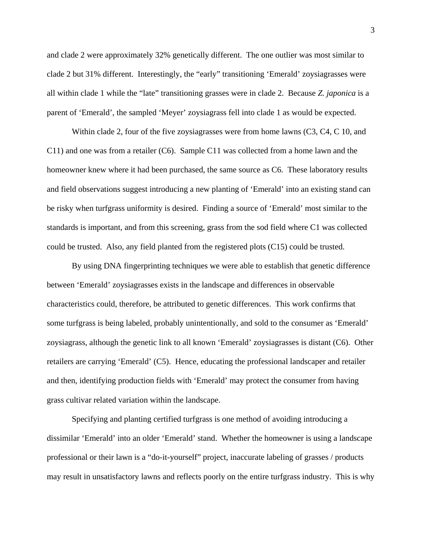and clade 2 were approximately 32% genetically different. The one outlier was most similar to clade 2 but 31% different. Interestingly, the "early" transitioning 'Emerald' zoysiagrasses were all within clade 1 while the "late" transitioning grasses were in clade 2. Because *Z. japonica* is a parent of 'Emerald', the sampled 'Meyer' zoysiagrass fell into clade 1 as would be expected.

Within clade 2, four of the five zoysiagrasses were from home lawns (C3, C4, C 10, and C11) and one was from a retailer (C6). Sample C11 was collected from a home lawn and the homeowner knew where it had been purchased, the same source as C6. These laboratory results and field observations suggest introducing a new planting of 'Emerald' into an existing stand can be risky when turfgrass uniformity is desired. Finding a source of 'Emerald' most similar to the standards is important, and from this screening, grass from the sod field where C1 was collected could be trusted. Also, any field planted from the registered plots (C15) could be trusted.

By using DNA fingerprinting techniques we were able to establish that genetic difference between 'Emerald' zoysiagrasses exists in the landscape and differences in observable characteristics could, therefore, be attributed to genetic differences. This work confirms that some turfgrass is being labeled, probably unintentionally, and sold to the consumer as 'Emerald' zoysiagrass, although the genetic link to all known 'Emerald' zoysiagrasses is distant (C6). Other retailers are carrying 'Emerald' (C5). Hence, educating the professional landscaper and retailer and then, identifying production fields with 'Emerald' may protect the consumer from having grass cultivar related variation within the landscape.

Specifying and planting certified turfgrass is one method of avoiding introducing a dissimilar 'Emerald' into an older 'Emerald' stand. Whether the homeowner is using a landscape professional or their lawn is a "do-it-yourself" project, inaccurate labeling of grasses / products may result in unsatisfactory lawns and reflects poorly on the entire turfgrass industry. This is why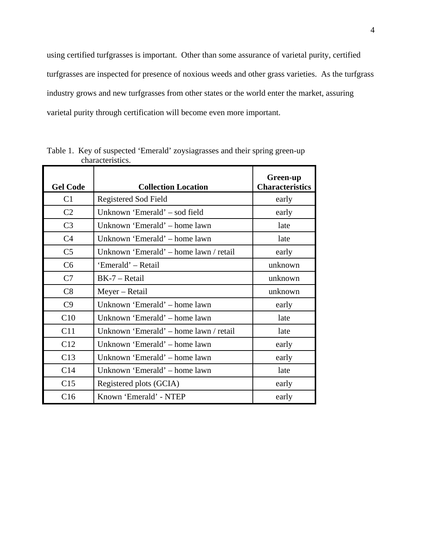using certified turfgrasses is important. Other than some assurance of varietal purity, certified turfgrasses are inspected for presence of noxious weeds and other grass varieties. As the turfgrass industry grows and new turfgrasses from other states or the world enter the market, assuring varietal purity through certification will become even more important.

| <b>Gel Code</b> | <b>Collection Location</b>             | Green-up<br><b>Characteristics</b> |
|-----------------|----------------------------------------|------------------------------------|
| C1              | <b>Registered Sod Field</b>            | early                              |
| C <sub>2</sub>  | Unknown 'Emerald' - sod field          | early                              |
| C <sub>3</sub>  | Unknown 'Emerald' – home lawn          | late                               |
| C <sub>4</sub>  | Unknown 'Emerald' – home lawn          | late                               |
| C <sub>5</sub>  | Unknown 'Emerald' – home lawn / retail | early                              |
| C <sub>6</sub>  | 'Emerald' – Retail                     | unknown                            |
| C7              | $BK-7 - Retail$                        | unknown                            |
| C8              | Meyer – Retail                         | unknown                            |
| C9              | Unknown 'Emerald' – home lawn          | early                              |
| C10             | Unknown 'Emerald' – home lawn          | late                               |
| C11             | Unknown 'Emerald' – home lawn / retail | late                               |
| C12             | Unknown 'Emerald' – home lawn          | early                              |
| C13             | Unknown 'Emerald' – home lawn          | early                              |
| C14             | Unknown 'Emerald' – home lawn          | late                               |
| C15             | Registered plots (GCIA)                | early                              |
| C16             | Known 'Emerald' - NTEP                 | early                              |

Table 1. Key of suspected 'Emerald' zoysiagrasses and their spring green-up characteristics.